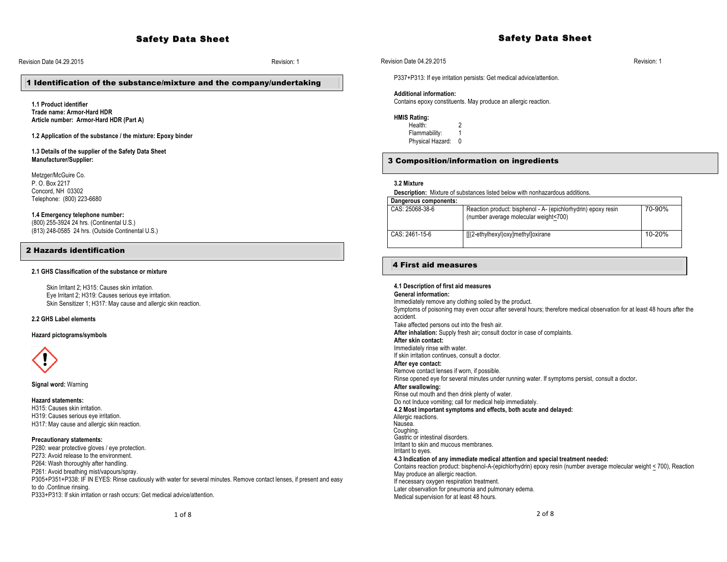## Revision Date 04.29.2015 Revision: 1

# 1 Identification of the substance/mixture and the company/undertaking

**1.1 Product identifier Trade name: Armor-Hard HDR Article number: Armor-Hard HDR (Part A)**

**1.2 Application of the substance / the mixture: Epoxy binder**

#### **1.3 Details of the supplier of the Safety Data Sheet Manufacturer/Supplier:**

Metzger/McGuire Co. P. O. Box 2217 Concord, NH 03302 Telephone: (800) 223-6680

#### **1.4 Emergency telephone number:**

(800) 255-3924 24 hrs. (Continental U.S.) (813) 248-0585 24 hrs. (Outside Continental U.S.)

# 2 Hazards identification

#### **2.1 GHS Classification of the substance or mixture**

Skin Irritant 2; H315: Causes skin irritation. Eye Irritant 2; H319: Causes serious eye irritation. Skin Sensitizer 1; H317: May cause and allergic skin reaction.

#### **2.2 GHS Label elements**

**Hazard pictograms/symbols**



**Signal word:** Warning

#### **Hazard statements:**

H315: Causes skin irritation. H319: Causes serious eye irritation. H317: May cause and allergic skin reaction.

#### **Precautionary statements:**

P280: wear protective gloves / eye protection. P273: Avoid release to the environment. P264: Wash thoroughly after handling. P261: Avoid breathing mist/vapours/spray. P305+P351+P338: IF IN EYES: Rinse cautiously with water for several minutes. Remove contact lenses, if present and easy to do .Continue rinsing. P333+P313: If skin irritation or rash occurs: Get medical advice/attention.

# Revision Date 04.29.2015 Revision: 1

P337+P313: If eye irritation persists: Get medical advice/attention.

#### **Additional information:**

Contains epoxy constituents. May produce an allergic reaction.

#### **HMIS Rating:**

Health: 2

- Flammability: 1
- Physical Hazard: 0

# 3 Composition/information on ingredients

#### **3.2 Mixture**

**Description:** Mixture of substances listed below with nonhazardous additions.

| Dangerous components: |                                                                                                        |        |
|-----------------------|--------------------------------------------------------------------------------------------------------|--------|
| CAS: 25068-38-6       | Reaction product: bisphenol - A- (epichlorhydrin) epoxy resin<br>(number average molecular weight<700) | 70-90% |
| CAS: 2461-15-6        | [[(2-ethylhexyl)oxy]methyl]oxirane                                                                     | 10-20% |

Safety Data Sheet

# 4 First aid measures

**4.1 Description of first aid measures General information:** Immediately remove any clothing soiled by the product. Symptoms of poisoning may even occur after several hours; therefore medical observation for at least 48 hours after the accident. Take affected persons out into the fresh air. **After inhalation:** Supply fresh air**;** consult doctor in case of complaints. **After skin contact:** Immediately rinse with water. If skin irritation continues, consult a doctor. **After eye contact:** Remove contact lenses if worn, if possible. Rinse opened eye for several minutes under running water. If symptoms persist, consult a doctor**. After swallowing:** Rinse out mouth and then drink plenty of water. Do not Induce vomiting; call for medical help immediately. **4.2 Most important symptoms and effects, both acute and delayed:** Allergic reactions.<br>Nausea. Coughing. Gastric or intestinal disorders. Irritant to skin and mucous membranes. Irritant to eyes. **4.3 Indication of any immediate medical attention and special treatment needed:** Contains reaction product: bisphenol-A-(epichlorhydrin) epoxy resin (number average molecular weight < 700), Reaction May produce an allergic reaction. If necessary oxygen respiration treatment. Later observation for pneumonia and pulmonary edema. Medical supervision for at least 48 hours.

 $2$  of  $8$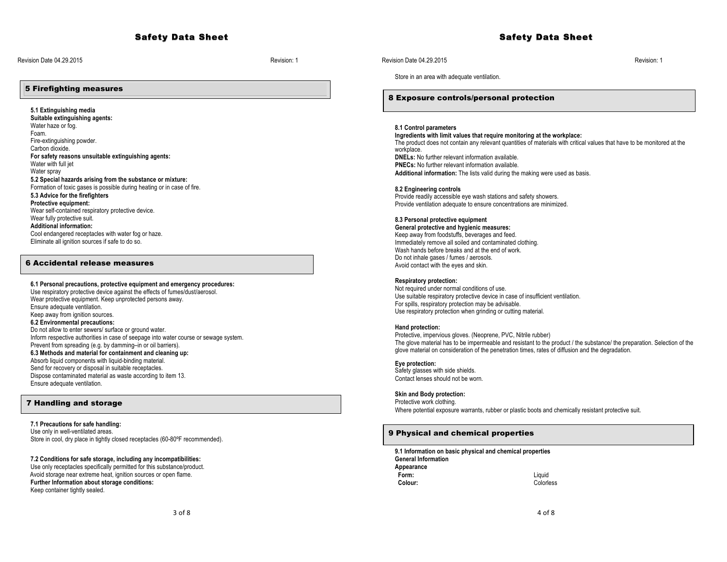# Safety Data Sheet

Revision Date 04.29.2015 Revision: 1

# 5 Firefighting measures

**5.1 Extinguishing media Suitable extinguishing agents:** Water haze or fog. Foam. Fire-extinguishing powder. Carbon dioxide. **For safety reasons unsuitable extinguishing agents:** Water with full jet Water spray **5.2 Special hazards arising from the substance or mixture:** Formation of toxic gases is possible during heating or in case of fire. **5.3 Advice for the firefighters Protective equipment:** Wear self-contained respiratory protective device. Wear fully protective suit. **Additional information:** Cool endangered receptacles with water fog or haze. Eliminate all ignition sources if safe to do so.

# 6 Accidental release measures

# **6.1 Personal precautions, protective equipment and emergency procedures:**

Use respiratory protective device against the effects of fumes/dust/aerosol. Wear protective equipment. Keep unprotected persons away. Ensure adequate ventilation. Keep away from ignition sources. **6.2 Environmental precautions:** Do not allow to enter sewers/ surface or ground water. Inform respective authorities in case of seepage into water course or sewage system. Prevent from spreading (e.g. by damming–in or oil barriers). **6.3 Methods and material for containment and cleaning up:** Absorb liquid components with liquid-binding material. Send for recovery or disposal in suitable receptacles. Dispose contaminated material as waste according to item 13. Ensure adequate ventilation.

#### 7 Handling and storage

# **7.1 Precautions for safe handling:**

Use only in well-ventilated areas. Store in cool, dry place in tightly closed receptacles (60-80ºF recommended).

#### **7.2 Conditions for safe storage, including any incompatibilities:**

Use only receptacles specifically permitted for this substance/product. Avoid storage near extreme heat, ignition sources or open flame. **Further Information about storage conditions:**  Keep container tightly sealed.

#### Revision Date 04.29.2015 Revision: 1

Store in an area with adequate ventilation.

#### 8 Exposure controls/personal protection

# **8.1 Control parameters**

**Ingredients with limit values that require monitoring at the workplace:** The product does not contain any relevant quantities of materials with critical values that have to be monitored at the workplace. **DNELs:** No further relevant information available. **PNECs:** No further relevant information available. **Additional information:** The lists valid during the making were used as basis.

#### **8.2 Engineering controls**

Provide readily accessible eye wash stations and safety showers. Provide ventilation adequate to ensure concentrations are minimized.

#### **8.3 Personal protective equipment**

**General protective and hygienic measures:** Keep away from foodstuffs, beverages and feed. Immediately remove all soiled and contaminated clothing. Wash hands before breaks and at the end of work. Do not inhale gases / fumes / aerosols. Avoid contact with the eyes and skin.

# **Respiratory protection:**

Not required under normal conditions of use. Use suitable respiratory protective device in case of insufficient ventilation. For spills, respiratory protection may be advisable. Use respiratory protection when grinding or cutting material.

#### **Hand protection:**

Protective, impervious gloves. (Neoprene, PVC, Nitrile rubber) The glove material has to be impermeable and resistant to the product / the substance/ the preparation. Selection of the glove material on consideration of the penetration times, rates of diffusion and the degradation.

# **Eye protection:**

Safety glasses with side shields. Contact lenses should not be worn.

#### **Skin and Body protection:**

Protective work clothing. Where potential exposure warrants, rubber or plastic boots and chemically resistant protective suit.

## 9 Physical and chemical properties

**9.1 Information on basic physical and chemical properties General Information Appearance Form:** Liquid  **Colour:** Colorless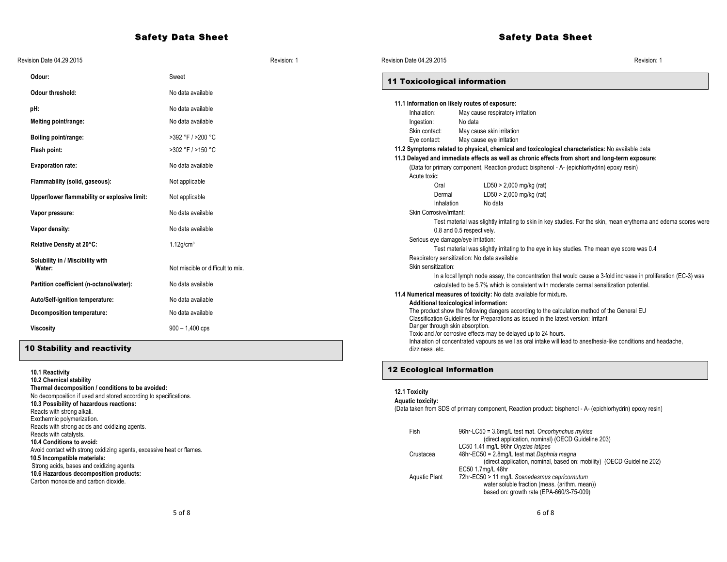# Safety Data Sheet

| Revision Date 04.29.2015                                                                                                                                                                                                                                                                                                                                                                                                                                                                                                                                                      |                                   | Revision: 1 | Revision Date 04.29.2015                                                               |                           |                                                                                                                                                                                                                                                                                                                                                                                                                                                                                                                                                        | Revision: 1                                                                                                     |
|-------------------------------------------------------------------------------------------------------------------------------------------------------------------------------------------------------------------------------------------------------------------------------------------------------------------------------------------------------------------------------------------------------------------------------------------------------------------------------------------------------------------------------------------------------------------------------|-----------------------------------|-------------|----------------------------------------------------------------------------------------|---------------------------|--------------------------------------------------------------------------------------------------------------------------------------------------------------------------------------------------------------------------------------------------------------------------------------------------------------------------------------------------------------------------------------------------------------------------------------------------------------------------------------------------------------------------------------------------------|-----------------------------------------------------------------------------------------------------------------|
| Odour:                                                                                                                                                                                                                                                                                                                                                                                                                                                                                                                                                                        | Sweet                             |             | <b>11 Toxicological information</b>                                                    |                           |                                                                                                                                                                                                                                                                                                                                                                                                                                                                                                                                                        |                                                                                                                 |
| <b>Odour threshold:</b>                                                                                                                                                                                                                                                                                                                                                                                                                                                                                                                                                       | No data available                 |             |                                                                                        |                           |                                                                                                                                                                                                                                                                                                                                                                                                                                                                                                                                                        |                                                                                                                 |
| pH:                                                                                                                                                                                                                                                                                                                                                                                                                                                                                                                                                                           | No data available                 |             | 11.1 Information on likely routes of exposure:                                         |                           |                                                                                                                                                                                                                                                                                                                                                                                                                                                                                                                                                        |                                                                                                                 |
| Melting point/range:                                                                                                                                                                                                                                                                                                                                                                                                                                                                                                                                                          | No data available                 |             | Inhalation:<br>Ingestion:                                                              | No data                   | May cause respiratory irritation                                                                                                                                                                                                                                                                                                                                                                                                                                                                                                                       |                                                                                                                 |
| Boiling point/range:                                                                                                                                                                                                                                                                                                                                                                                                                                                                                                                                                          | >392 °F / >200 °C                 |             | Skin contact:<br>Eye contact:                                                          |                           | May cause skin irritation<br>May cause eye irritation                                                                                                                                                                                                                                                                                                                                                                                                                                                                                                  |                                                                                                                 |
| Flash point:                                                                                                                                                                                                                                                                                                                                                                                                                                                                                                                                                                  | >302 °F / >150 °C                 |             |                                                                                        |                           | 11.2 Symptoms related to physical, chemical and toxicological characteristics: No available data                                                                                                                                                                                                                                                                                                                                                                                                                                                       |                                                                                                                 |
| <b>Evaporation rate:</b>                                                                                                                                                                                                                                                                                                                                                                                                                                                                                                                                                      | No data available                 |             |                                                                                        |                           | 11.3 Delayed and immediate effects as well as chronic effects from short and long-term exposure:<br>(Data for primary component, Reaction product: bisphenol - A- (epichlorhydrin) epoxy resin)                                                                                                                                                                                                                                                                                                                                                        |                                                                                                                 |
| Flammability (solid, gaseous):                                                                                                                                                                                                                                                                                                                                                                                                                                                                                                                                                | Not applicable                    |             | Acute toxic:<br>Oral                                                                   |                           | LD50 > 2,000 mg/kg (rat)                                                                                                                                                                                                                                                                                                                                                                                                                                                                                                                               |                                                                                                                 |
| Upper/lower flammability or explosive limit:                                                                                                                                                                                                                                                                                                                                                                                                                                                                                                                                  | Not applicable                    |             | Dermal<br>Inhalation                                                                   |                           | LD50 > 2,000 mg/kg (rat)<br>No data                                                                                                                                                                                                                                                                                                                                                                                                                                                                                                                    |                                                                                                                 |
| Vapor pressure:                                                                                                                                                                                                                                                                                                                                                                                                                                                                                                                                                               | No data available                 |             | Skin Corrosive/irritant:                                                               |                           |                                                                                                                                                                                                                                                                                                                                                                                                                                                                                                                                                        |                                                                                                                 |
| Vapor density:                                                                                                                                                                                                                                                                                                                                                                                                                                                                                                                                                                | No data available                 |             |                                                                                        | 0.8 and 0.5 respectively. |                                                                                                                                                                                                                                                                                                                                                                                                                                                                                                                                                        | Test material was slightly irritating to skin in key studies. For the skin, mean erythema and edema scores were |
| Relative Density at 20°C:                                                                                                                                                                                                                                                                                                                                                                                                                                                                                                                                                     | $1.12$ g/cm <sup>3</sup>          |             | Serious eye damage/eye irritation:                                                     |                           | Test material was slightly irritating to the eye in key studies. The mean eye score was 0.4                                                                                                                                                                                                                                                                                                                                                                                                                                                            |                                                                                                                 |
| Solubility in / Miscibility with<br>Water:                                                                                                                                                                                                                                                                                                                                                                                                                                                                                                                                    | Not miscible or difficult to mix. |             | Respiratory sensitization: No data available<br>Skin sensitization:                    |                           |                                                                                                                                                                                                                                                                                                                                                                                                                                                                                                                                                        | In a local lymph node assay, the concentration that would cause a 3-fold increase in proliferation (EC-3) was   |
| Partition coefficient (n-octanol/water):                                                                                                                                                                                                                                                                                                                                                                                                                                                                                                                                      | No data available                 |             |                                                                                        |                           | calculated to be 5.7% which is consistent with moderate dermal sensitization potential.                                                                                                                                                                                                                                                                                                                                                                                                                                                                |                                                                                                                 |
| Auto/Self-ignition temperature:                                                                                                                                                                                                                                                                                                                                                                                                                                                                                                                                               | No data available                 |             |                                                                                        |                           | 11.4 Numerical measures of toxicity: No data available for mixture.                                                                                                                                                                                                                                                                                                                                                                                                                                                                                    |                                                                                                                 |
| Decomposition temperature:                                                                                                                                                                                                                                                                                                                                                                                                                                                                                                                                                    | No data available                 |             | Additional toxicological information:                                                  |                           | The product show the following dangers according to the calculation method of the General EU                                                                                                                                                                                                                                                                                                                                                                                                                                                           |                                                                                                                 |
| <b>Viscosity</b>                                                                                                                                                                                                                                                                                                                                                                                                                                                                                                                                                              | $900 - 1,400$ cps                 |             | Danger through skin absorption.                                                        |                           | Classification Guidelines for Preparations as issued in the latest version: Irritant<br>Toxic and /or corrosive effects may be delayed up to 24 hours.                                                                                                                                                                                                                                                                                                                                                                                                 |                                                                                                                 |
| <b>10 Stability and reactivity</b>                                                                                                                                                                                                                                                                                                                                                                                                                                                                                                                                            |                                   |             | dizziness .etc.                                                                        |                           |                                                                                                                                                                                                                                                                                                                                                                                                                                                                                                                                                        | Inhalation of concentrated vapours as well as oral intake will lead to anesthesia-like conditions and headache, |
| 10.1 Reactivity<br>10.2 Chemical stability                                                                                                                                                                                                                                                                                                                                                                                                                                                                                                                                    |                                   |             | <b>12 Ecological information</b>                                                       |                           |                                                                                                                                                                                                                                                                                                                                                                                                                                                                                                                                                        |                                                                                                                 |
| Thermal decomposition / conditions to be avoided:<br>No decomposition if used and stored according to specifications.<br>10.3 Possibility of hazardous reactions:<br>Reacts with strong alkali.<br>Exothermic polymerization.<br>Reacts with strong acids and oxidizing agents.<br>Reacts with catalysts.<br>10.4 Conditions to avoid:<br>Avoid contact with strong oxidizing agents, excessive heat or flames.<br>10.5 Incompatible materials:<br>Strong acids, bases and oxidizing agents.<br>10.6 Hazardous decomposition products:<br>Carbon monoxide and carbon dioxide. |                                   |             | 12.1 Toxicity<br><b>Aquatic toxicity:</b><br>Fish<br>Crustacea<br><b>Aquatic Plant</b> |                           | (Data taken from SDS of primary component, Reaction product: bisphenol - A- (epichlorhydrin) epoxy resin)<br>96hr-LC50 = 3.6mg/L test mat. Oncorhynchus mykiss<br>(direct application, nominal) (OECD Guideline 203)<br>LC50 1.41 mg/L 96hr Oryzias latipes<br>48hr-EC50 = 2.8mg/L test mat Daphnia magna<br>(direct application, nominal, based on: mobility) (OECD Guideline 202)<br>EC50 1.7mg/L 48hr<br>72hr-EC50 > 11 mg/L Scenedesmus capricornutum<br>water soluble fraction (meas. (arithm. mean))<br>based on: growth rate (EPA-660/3-75-009) |                                                                                                                 |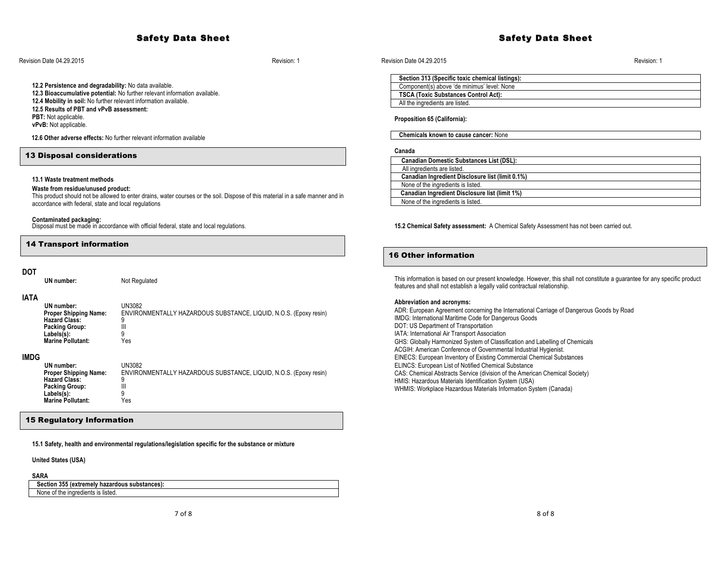#### Revision Date 04.29.2015 Revision: 1

**12.2 Persistence and degradability:** No data available. **12.3 Bioaccumulative potential:** No further relevant information available. **12.4 Mobility in soil:** No further relevant information available. **12.5 Results of PBT and vPvB assessment: PBT:** Not applicable. **vPvB:** Not applicable.

 **12.6 Other adverse effects:** No further relevant information available

# 13 Disposal considerations

## **13.1 Waste treatment methods**

#### **Waste from residue/unused product:**

This product should not be allowed to enter drains, water courses or the soil. Dispose of this material in a safe manner and in accordance with federal, state and local regulations

**Contaminated packaging:** Disposal must be made in accordance with official federal, state and local regulations.

# 14 Transport information

# **DOT**

**UN number:** Not Regulated

## **IATA**

| UN number:<br><b>Proper Shipping Name:</b> | UN3082<br>ENVIRONMENTALLY HAZARDOUS SUBSTANCE, LIQUID, N.O.S. (Epoxy resin) |
|--------------------------------------------|-----------------------------------------------------------------------------|
| <b>Hazard Class:</b>                       | ۵                                                                           |
| <b>Packing Group:</b>                      |                                                                             |
| Labels(s):                                 | a                                                                           |
| Marine Pollutant:                          | ∨م∠                                                                         |

#### **IMDG**

| UN number:                   | UN3082                                                            |
|------------------------------|-------------------------------------------------------------------|
| <b>Proper Shipping Name:</b> | ENVIRONMENTALLY HAZARDOUS SUBSTANCE, LIQUID, N.O.S. (Epoxy resin) |
| <b>Hazard Class:</b>         |                                                                   |
| <b>Packing Group:</b>        | Ш                                                                 |
| Labels(s):                   |                                                                   |
| <b>Marine Pollutant:</b>     | Yes                                                               |

## 15 Regulatory Information

**15.1 Safety, health and environmental regulations/legislation specific for the substance or mixture**

**United States (USA)**

# **SARA**

 **Section 355 (extremely hazardous substances):** None of the ingredients is listed.

# Safety Data Sheet

#### Revision Date 04.29.2015 Revision: 1

| Section 313 (Specific toxic chemical listings): |
|-------------------------------------------------|
| Component(s) above 'de minimus' level: None     |
| <b>TSCA (Toxic Substances Control Act):</b>     |
| All the ingredients are listed.                 |

#### **Proposition 65 (California):**

 **Chemicals known to cause cancer:** None

#### **Canada**

| <b>Canadian Domestic Substances List (DSL):</b>  |  |
|--------------------------------------------------|--|
| All ingredients are listed.                      |  |
| Canadian Ingredient Disclosure list (limit 0.1%) |  |
| None of the ingredients is listed.               |  |
| Canadian Ingredient Disclosure list (limit 1%)   |  |
| None of the ingredients is listed.               |  |

#### **15.2 Chemical Safety assessment:** A Chemical Safety Assessment has not been carried out.

# 16 Other information

This information is based on our present knowledge. However, this shall not constitute a guarantee for any specific product features and shall not establish a legally valid contractual relationship.

#### **Abbreviation and acronyms:**

ADR: European Agreement concerning the International Carriage of Dangerous Goods by Road IMDG: International Maritime Code for Dangerous Goods DOT: US Department of Transportation IATA: International Air Transport Association GHS: Globally Harmonized System of Classification and Labelling of Chemicals ACGIH: American Conference of Governmental Industrial Hygienist. EINECS: European Inventory of Existing Commercial Chemical Substances ELINCS: European List of Notified Chemical Substance CAS: Chemical Abstracts Service (division of the American Chemical Society) HMIS: Hazardous Materials Identification System (USA) WHMIS: Workplace Hazardous Materials Information System (Canada)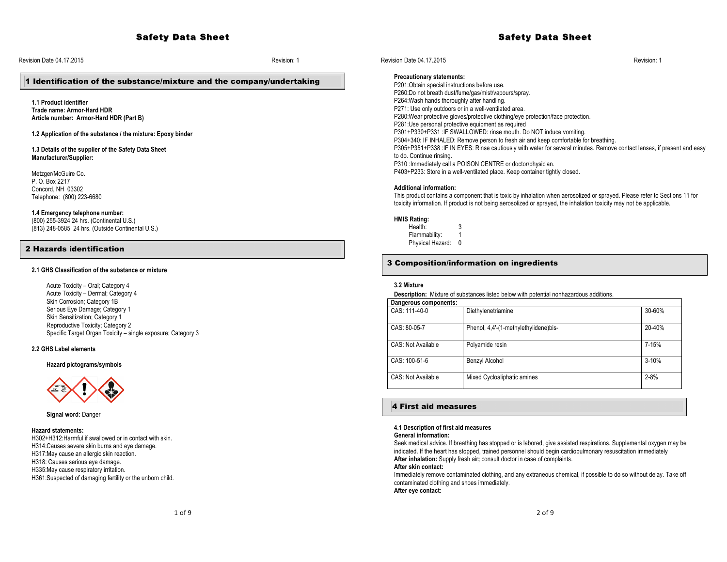# Safety Data Sheet

Revision Date 04.17.2015 Revision: 1

# 1 Identification of the substance/mixture and the company/undertaking

**1.1 Product identifier Trade name: Armor-Hard HDR Article number: Armor-Hard HDR (Part B)**

**1.2 Application of the substance / the mixture: Epoxy binder**

**1.3 Details of the supplier of the Safety Data Sheet Manufacturer/Supplier:** 

Metzger/McGuire Co. P. O. Box 2217 Concord, NH 03302 Telephone: (800) 223-6680

#### **1.4 Emergency telephone number:**

(800) 255-3924 24 hrs. (Continental U.S.) (813) 248-0585 24 hrs. (Outside Continental U.S.)

## 2 Hazards identification

## **2.1 GHS Classification of the substance or mixture**

Acute Toxicity – Oral; Category 4 Acute Toxicity – Dermal; Category 4 Skin Corrosion; Category 1B Serious Eye Damage; Category 1 Skin Sensitization; Category 1 Reproductive Toxicity; Category 2 Specific Target Organ Toxicity – single exposure; Category 3

## **2.2 GHS Label elements**

**Hazard pictograms/symbols**



**Signal word:** Danger

#### **Hazard statements:**

H302+H312:Harmful if swallowed or in contact with skin. H314:Causes severe skin burns and eye damage. H317:May cause an allergic skin reaction. H318: Causes serious eye damage. H335:May cause respiratory irritation. H361:Suspected of damaging fertility or the unborn child.

Revision Date 04.17.2015 Revision: 1

#### **Precautionary statements:**

P201:Obtain special instructions before use. P260:Do not breath dust/fume/gas/mist/vapours/spray. P264:Wash hands thoroughly after handling. P271: Use only outdoors or in a well-ventilated area. P280:Wear protective gloves/protective clothing/eye protection/face protection. P281:Use personal protective equipment as required P301+P330+P331 :IF SWALLOWED: rinse mouth. Do NOT induce vomiting. P304+340: IF INHALED: Remove person to fresh air and keep comfortable for breathing. P305+P351+P338 :IF IN EYES: Rinse cautiously with water for several minutes. Remove contact lenses, if present and easy to do. Continue rinsing. P310 :Immediately call a POISON CENTRE or doctor/physician. P403+P233: Store in a well-ventilated place. Keep container tightly closed.

# **Additional information:**

This product contains a component that is toxic by inhalation when aerosolized or sprayed. Please refer to Sections 11 for toxicity information. If product is not being aerosolized or sprayed, the inhalation toxicity may not be applicable.

#### **HMIS Rating:**

Health: 3 Flammability: 1

Physical Hazard: 0

# 3 Composition/information on ingredients

#### **3.2 Mixture**

**Description:** Mixture of substances listed below with potential nonhazardous additions.

| Dangerous components: |                                       |           |
|-----------------------|---------------------------------------|-----------|
| CAS: 111-40-0         | Diethylenetriamine                    | 30-60%    |
| CAS: 80-05-7          | Phenol, 4,4'-(1-methylethylidene)bis- | 20-40%    |
| CAS: Not Available    | Polyamide resin                       | 7-15%     |
| CAS: 100-51-6         | Benzyl Alcohol                        | $3 - 10%$ |
| CAS: Not Available    | Mixed Cycloaliphatic amines           | $2 - 8%$  |

# 4 First aid measures

#### **4.1 Description of first aid measures**

**General information:**

Seek medical advice. If breathing has stopped or is labored, give assisted respirations. Supplemental oxygen may be indicated. If the heart has stopped, trained personnel should begin cardiopulmonary resuscitation immediately **After inhalation:** Supply fresh air**;** consult doctor in case of complaints.

**After skin contact:**

Immediately remove contaminated clothing, and any extraneous chemical, if possible to do so without delay. Take off contaminated clothing and shoes immediately.

**After eye contact:**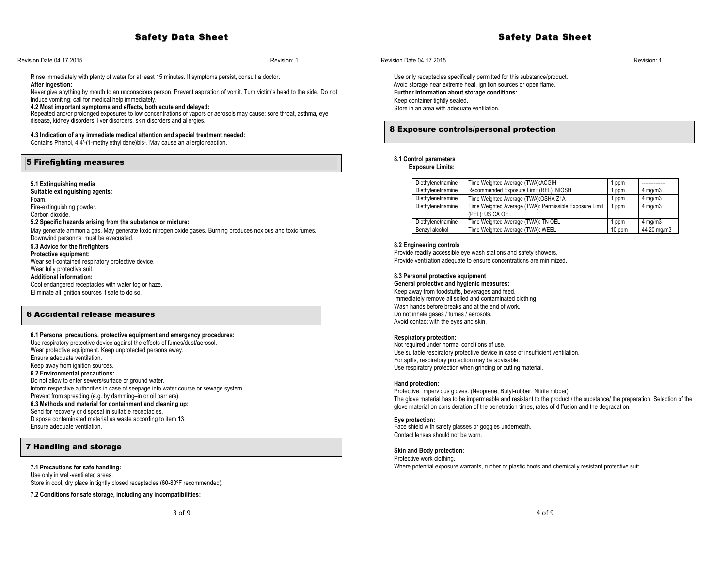# Safety Data Sheet

## Revision Date 04.17.2015 Revision: 1

Rinse immediately with plenty of water for at least 15 minutes. If symptoms persist, consult a doctor**. After ingestion:**

Never give anything by mouth to an unconscious person. Prevent aspiration of vomit. Turn victim's head to the side. Do not Induce vomiting; call for medical help immediately.

**4.2 Most important symptoms and effects, both acute and delayed:**

Repeated and/or prolonged exposures to low concentrations of vapors or aerosols may cause: sore throat, asthma, eye disease, kidney disorders, liver disorders, skin disorders and allergies.

## **4.3 Indication of any immediate medical attention and special treatment needed:**

Contains Phenol, 4,4'-(1-methylethylidene)bis-. May cause an allergic reaction.

# 5 Firefighting measures

#### **5.1 Extinguishing media**

**Suitable extinguishing agents:** Foam. Fire-extinguishing powder. Carbon dioxide. **5.2 Specific hazards arising from the substance or mixture:** May generate ammonia gas. May generate toxic nitrogen oxide gases. Burning produces noxious and toxic fumes. Downwind personnel must be evacuated. **5.3 Advice for the firefighters Protective equipment:** Wear self-contained respiratory protective device. Wear fully protective suit. **Additional information:**

Cool endangered receptacles with water fog or haze. Eliminate all ignition sources if safe to do so.

# 6 Accidental release measures

#### **6.1 Personal precautions, protective equipment and emergency procedures:**

Use respiratory protective device against the effects of fumes/dust/aerosol. Wear protective equipment. Keep unprotected persons away. Ensure adequate ventilation. Keep away from ignition sources. **6.2 Environmental precautions:** Do not allow to enter sewers/surface or ground water. Inform respective authorities in case of seepage into water course or sewage system. Prevent from spreading (e.g. by damming–in or oil barriers). **6.3 Methods and material for containment and cleaning up:** Send for recovery or disposal in suitable receptacles. Dispose contaminated material as waste according to item 13. Ensure adequate ventilation.

# 7 Handling and storage

**7.1 Precautions for safe handling:** Use only in well-ventilated areas. Store in cool, dry place in tightly closed receptacles (60-80°F recommended).

**7.2 Conditions for safe storage, including any incompatibilities:**

## Revision Date 04.17.2015 Revision: 1

Use only receptacles specifically permitted for this substance/product. Avoid storage near extreme heat, ignition sources or open flame. **Further Information about storage conditions:**  Keep container tightly sealed. Store in an area with adequate ventilation.

# 8 Exposure controls/personal protection

# **8.1 Control parameters**

**Exposure Limits:**

| Diethylenetriamine | Time Weighted Average (TWA):ACGIH                                           | 1 ppm  |                  |
|--------------------|-----------------------------------------------------------------------------|--------|------------------|
| Diethylenetriamine | Recommended Exposure Limit (REL): NIOSH                                     | 1 ppm  | $4 \text{ mg/m}$ |
| Diethylenetriamine | Time Weighted Average (TWA): OSHA Z1A                                       | 1 ppm  | $4 \text{ mg/m}$ |
| Diethylenetriamine | Time Weighted Average (TWA): Permissible Exposure Limit<br>(PEL): US CA OEL | 1 ppm  | $4 \text{ mg/m}$ |
| Diethylenetriamine | Time Weighted Average (TWA): TN OEL                                         | 1 ppm  | $4 \text{ mg/m}$ |
| Benzyl alcohol     | Time Weighted Average (TWA): WEEL                                           | 10 ppm | 44.20 mg/m3      |

#### **8.2 Engineering controls**

Provide readily accessible eye wash stations and safety showers. Provide ventilation adequate to ensure concentrations are minimized.

#### **8.3 Personal protective equipment**

**General protective and hygienic measures:** Keep away from foodstuffs, beverages and feed. Immediately remove all soiled and contaminated clothing. Wash hands before breaks and at the end of work. Do not inhale gases / fumes / aerosols. Avoid contact with the eyes and skin.

#### **Respiratory protection:**

Not required under normal conditions of use. Use suitable respiratory protective device in case of insufficient ventilation. For spills, respiratory protection may be advisable. Use respiratory protection when grinding or cutting material.

#### **Hand protection:**

Protective, impervious gloves. (Neoprene, Butyl-rubber, Nitrile rubber) The glove material has to be impermeable and resistant to the product / the substance/ the preparation. Selection of the glove material on consideration of the penetration times, rates of diffusion and the degradation.

#### **Eye protection:**

Face shield with safety glasses or goggles underneath. Contact lenses should not be worn.

#### **Skin and Body protection:**

Protective work clothing. Where potential exposure warrants, rubber or plastic boots and chemically resistant protective suit.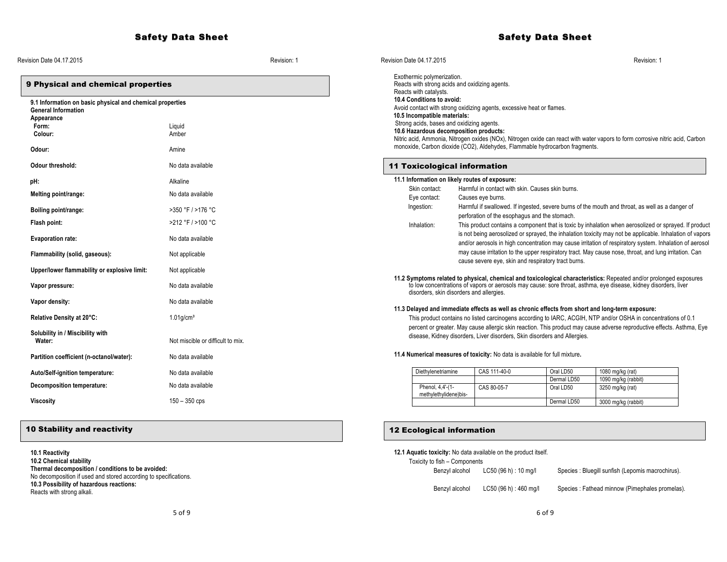# Safety Data Sheet

| Revision Date 04.17.2015                                                                |                                   | Revision: 1 | Revision Date 04.17.2015                                                                               |                                                                           |             | Revision: 1                                                                                                                                                                                                                            |  |
|-----------------------------------------------------------------------------------------|-----------------------------------|-------------|--------------------------------------------------------------------------------------------------------|---------------------------------------------------------------------------|-------------|----------------------------------------------------------------------------------------------------------------------------------------------------------------------------------------------------------------------------------------|--|
| 9 Physical and chemical properties                                                      |                                   |             | Exothermic polymerization.<br>Reacts with strong acids and oxidizing agents.<br>Reacts with catalysts. |                                                                           |             |                                                                                                                                                                                                                                        |  |
| 9.1 Information on basic physical and chemical properties<br><b>General Information</b> |                                   |             | 10.4 Conditions to avoid:<br>Avoid contact with strong oxidizing agents, excessive heat or flames.     |                                                                           |             |                                                                                                                                                                                                                                        |  |
| Appearance                                                                              |                                   |             | 10.5 Incompatible materials:                                                                           |                                                                           |             |                                                                                                                                                                                                                                        |  |
| Form:                                                                                   | Liquid                            |             | Strong acids, bases and oxidizing agents.                                                              |                                                                           |             |                                                                                                                                                                                                                                        |  |
| Colour:                                                                                 | Amber                             |             | 10.6 Hazardous decomposition products:                                                                 |                                                                           |             | Nitric acid, Ammonia, Nitrogen oxides (NOx), Nitrogen oxide can react with water vapors to form corrosive nitric acid, Carbon                                                                                                          |  |
| Odour:                                                                                  | Amine                             |             | monoxide, Carbon dioxide (CO2), Aldehydes, Flammable hydrocarbon fragments.                            |                                                                           |             |                                                                                                                                                                                                                                        |  |
| Odour threshold:                                                                        | No data available                 |             | <b>11 Toxicological information</b>                                                                    |                                                                           |             |                                                                                                                                                                                                                                        |  |
| pH:                                                                                     | Alkaline                          |             | 11.1 Information on likely routes of exposure:                                                         |                                                                           |             |                                                                                                                                                                                                                                        |  |
| Melting point/range:                                                                    | No data available                 |             | Skin contact:                                                                                          | Harmful in contact with skin. Causes skin burns.                          |             |                                                                                                                                                                                                                                        |  |
|                                                                                         |                                   |             | Eye contact:                                                                                           | Causes eye burns.                                                         |             |                                                                                                                                                                                                                                        |  |
| Boiling point/range:                                                                    | >350 °F / >176 °C                 |             | Ingestion:                                                                                             | perforation of the esophagus and the stomach.                             |             | Harmful if swallowed. If ingested, severe burns of the mouth and throat, as well as a danger of                                                                                                                                        |  |
| Flash point:                                                                            | >212 °F / >100 °C                 |             | Inhalation:                                                                                            |                                                                           |             | This product contains a component that is toxic by inhalation when aerosolized or sprayed. If product                                                                                                                                  |  |
| <b>Evaporation rate:</b>                                                                | No data available                 |             |                                                                                                        |                                                                           |             | is not being aerosolized or sprayed, the inhalation toxicity may not be applicable. Inhalation of vapors<br>and/or aerosols in high concentration may cause irritation of respiratory system. Inhalation of aerosol                    |  |
| Flammability (solid, gaseous):                                                          | Not applicable                    |             |                                                                                                        | cause severe eye, skin and respiratory tract burns.                       |             | may cause irritation to the upper respiratory tract. May cause nose, throat, and lung irritation. Can                                                                                                                                  |  |
| Upper/lower flammability or explosive limit:                                            | Not applicable                    |             |                                                                                                        |                                                                           |             |                                                                                                                                                                                                                                        |  |
| Vapor pressure:                                                                         | No data available                 |             | disorders, skin disorders and allergies.                                                               |                                                                           |             | 11.2 Symptoms related to physical, chemical and toxicological characteristics: Repeated and/or prolonged exposures<br>to low concentrations of vapors or aerosols may cause: sore throat, asthma, eye disease, kidney disorders, liver |  |
| Vapor density:                                                                          | No data available                 |             | 11.3 Delayed and immediate effects as well as chronic effects from short and long-term exposure:       |                                                                           |             |                                                                                                                                                                                                                                        |  |
| Relative Density at 20°C:                                                               | $1.01$ g/cm <sup>3</sup>          |             |                                                                                                        |                                                                           |             | This product contains no listed carcinogens according to IARC, ACGIH, NTP and/or OSHA in concentrations of 0.1                                                                                                                         |  |
|                                                                                         |                                   |             |                                                                                                        |                                                                           |             | percent or greater. May cause allergic skin reaction. This product may cause adverse reproductive effects. Asthma, Eye                                                                                                                 |  |
| Solubility in / Miscibility with<br>Water:                                              | Not miscible or difficult to mix. |             |                                                                                                        | disease, Kidney disorders, Liver disorders, Skin disorders and Allergies. |             |                                                                                                                                                                                                                                        |  |
| Partition coefficient (n-octanol/water):                                                | No data available                 |             | 11.4 Numerical measures of toxicity: No data is available for full mixture.                            |                                                                           |             |                                                                                                                                                                                                                                        |  |
| Auto/Self-ignition temperature:                                                         | No data available                 |             | Diethylenetriamine                                                                                     | CAS 111-40-0                                                              | Oral LD50   | 1080 mg/kg (rat)                                                                                                                                                                                                                       |  |
| Decomposition temperature:                                                              | No data available                 |             |                                                                                                        |                                                                           | Dermal LD50 | 1090 mg/kg (rabbit)                                                                                                                                                                                                                    |  |
|                                                                                         |                                   |             | Phenol, 4,4'-(1-<br>methylethylidene)bis-                                                              | CAS 80-05-7                                                               | Oral LD50   | 3250 mg/kg (rat)                                                                                                                                                                                                                       |  |
| Viscosity                                                                               | $150 - 350$ cps                   |             |                                                                                                        |                                                                           | Dermal LD50 | 3000 mg/kg (rabbit)                                                                                                                                                                                                                    |  |

**10.1 Reactivity 10.2 Chemical stability Thermal decomposition / conditions to be avoided:** No decomposition if used and stored according to specifications. **10.3 Possibility of hazardous reactions:** Reacts with strong alkali.

# **12.1 Aquatic toxicity:** No data available on the product itself. Toxicity to fish - Compo

Benzyl alcoho

| o fish – Components |                      |                                                   |
|---------------------|----------------------|---------------------------------------------------|
| Benzyl alcohol      | LC50(96 h) : 10 mg/l | Species : Bluegill sunfish (Lepomis macrochirus). |
| Benzvl alcohol      | LC50(96 h): 460 ma/l | Species: Fathead minnow (Pimephales promelas)     |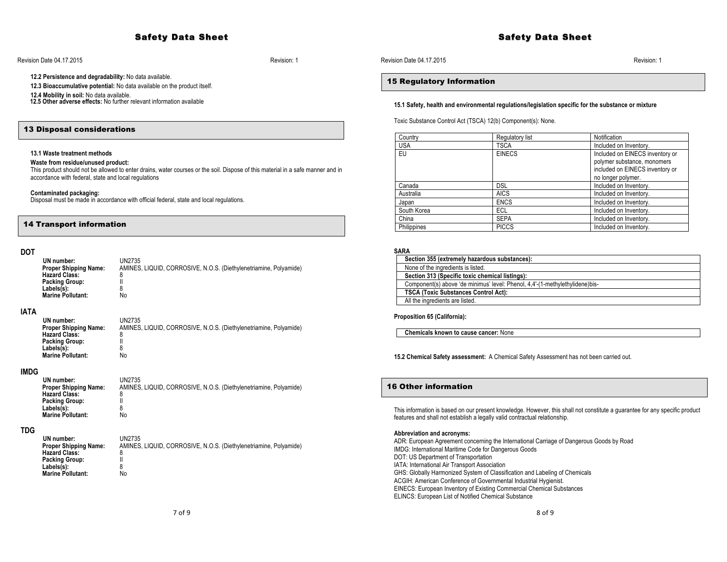# Safety Data Sheet

## Revision Date 04.17.2015 Revision: 1

**12.2 Persistence and degradability:** No data available.

**12.3 Bioaccumulative potential:** No data available on the product itself.

**12.4 Mobility in soil:** No data available. **12.5 Other adverse effects:** No further relevant information available

## 13 Disposal considerations

#### **13.1 Waste treatment methods**

#### **Waste from residue/unused product:**

This product should not be allowed to enter drains, water courses or the soil. Dispose of this material in a safe manner and in accordance with federal, state and local regulations

#### **Contaminated packaging:**

Disposal must be made in accordance with official federal, state and local regulations.

# 14 Transport information

# **DOT**

| UN2735                                                            |
|-------------------------------------------------------------------|
| AMINES, LIQUID, CORROSIVE, N.O.S. (Diethylenetriamine, Polyamide) |
| 8                                                                 |
|                                                                   |
|                                                                   |
| No                                                                |
|                                                                   |

# **IATA**

| UN number:<br><b>Proper Shipping Name:</b> | UN2735<br>AMINES, LIQUID, CORROSIVE, N.O.S. (Diethylenetriamine, Polyamide) |
|--------------------------------------------|-----------------------------------------------------------------------------|
|                                            |                                                                             |
| <b>Packing Group:</b>                      |                                                                             |
| Labels(s):                                 |                                                                             |
| <b>Marine Pollutant:</b>                   | No                                                                          |
|                                            | <b>Hazard Class:</b>                                                        |

# **IMDG**

| UN number:                   | UN2735                                                            |
|------------------------------|-------------------------------------------------------------------|
| <b>Proper Shipping Name:</b> | AMINES, LIQUID, CORROSIVE, N.O.S. (Diethylenetriamine, Polyamide) |
| <b>Hazard Class:</b>         |                                                                   |
| <b>Packing Group:</b>        |                                                                   |
| Labels(s):                   |                                                                   |
| <b>Marine Pollutant:</b>     | No                                                                |

# **TDG**

| UN number:<br><b>Proper Shipping Name:</b> | UN2735<br>AMINES, LIQUID, CORROSIVE, N.O.S. (Diethylenetriamine, Polyamide) |
|--------------------------------------------|-----------------------------------------------------------------------------|
| <b>Hazard Class:</b>                       | 8                                                                           |
| <b>Packing Group:</b>                      |                                                                             |
| Labels(s):                                 | 8                                                                           |
| <b>Marine Pollutant:</b>                   | No                                                                          |

# 15 Regulatory Information

#### **15.1 Safety, health and environmental regulations/legislation specific for the substance or mixture**

Toxic Substance Control Act (TSCA) 12(b) Component(s): None.

| Country     | Regulatory list | Notification                    |
|-------------|-----------------|---------------------------------|
| <b>USA</b>  | <b>TSCA</b>     | Included on Inventory.          |
| EU          | <b>EINECS</b>   | Included on EINECS inventory or |
|             |                 | polymer substance, monomers     |
|             |                 | included on EINECS inventory or |
|             |                 | no longer polymer.              |
| Canada      | <b>DSL</b>      | Included on Inventory.          |
| Australia   | <b>AICS</b>     | Included on Inventory.          |
| Japan       | <b>ENCS</b>     | Included on Inventory.          |
| South Korea | ECL             | Included on Inventory.          |
| China       | <b>SEPA</b>     | Included on Inventory.          |
| Philippines | <b>PICCS</b>    | Included on Inventory.          |

# **SARA**

| Section 355 (extremely hazardous substances):                                |
|------------------------------------------------------------------------------|
| None of the ingredients is listed.                                           |
| Section 313 (Specific toxic chemical listings):                              |
| Component(s) above 'de minimus' level: Phenol, 4,4'-(1-methylethylidene)bis- |
| <b>TSCA (Toxic Substances Control Act):</b>                                  |
| All the ingredients are listed.                                              |

**Proposition 65 (California):**

 **Chemicals known to cause cancer:** None

**15.2 Chemical Safety assessment:** A Chemical Safety Assessment has not been carried out.

# 16 Other information

This information is based on our present knowledge. However, this shall not constitute a guarantee for any specific product features and shall not establish a legally valid contractual relationship.

#### **Abbreviation and acronyms:**

ADR: European Agreement concerning the International Carriage of Dangerous Goods by Road IMDG: International Maritime Code for Dangerous Goods DOT: US Department of Transportation IATA: International Air Transport Association GHS: Globally Harmonized System of Classification and Labeling of Chemicals ACGIH: American Conference of Governmental Industrial Hygienist. EINECS: European Inventory of Existing Commercial Chemical Substances ELINCS: European List of Notified Chemical Substance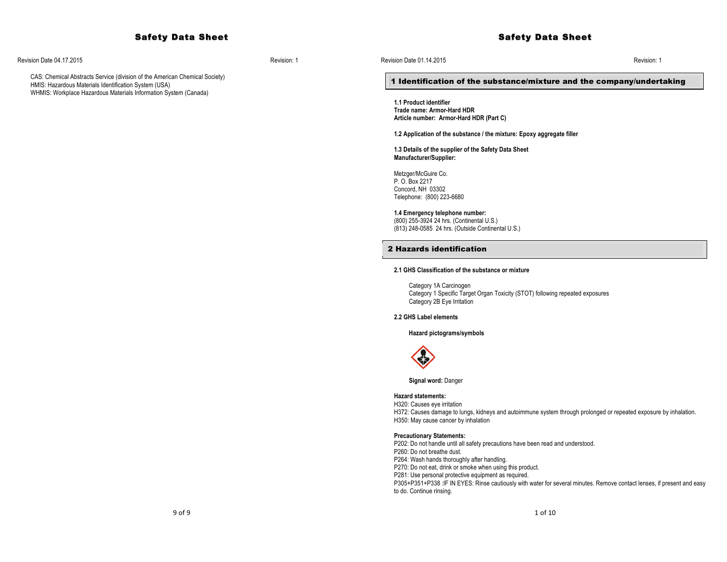# Safety Data Sheet

Revision Date 04.17.2015 Revision: 1

CAS: Chemical Abstracts Service (division of the American Chemical Society) HMIS: Hazardous Materials Identification System (USA) WHMIS: Workplace Hazardous Materials Information System (Canada)

## 1 Identification of the substance/mixture and the company/undertaking

**1.1 Product identifier Trade name: Armor-Hard HDR Article number: Armor-Hard HDR (Part C)**

**1.2 Application of the substance / the mixture: Epoxy aggregate filler**

**1.3 Details of the supplier of the Safety Data Sheet Manufacturer/Supplier:** 

Metzger/McGuire Co. P. O. Box 2217 Concord, NH 03302 Telephone: (800) 223-6680

#### **1.4 Emergency telephone number:**

(800) 255-3924 24 hrs. (Continental U.S.) (813) 248-0585 24 hrs. (Outside Continental U.S.)

# 2 Hazards identification

## **2.1 GHS Classification of the substance or mixture**

Category 1A Carcinogen Category 1 Specific Target Organ Toxicity (STOT) following repeated exposures Category 2B Eye Irritation

# **2.2 GHS Label elements**

**Hazard pictograms/symbols**



**Signal word:** Danger

#### **Hazard statements:**

H320: Causes eye irritation H372: Causes damage to lungs, kidneys and autoimmune system through prolonged or repeated exposure by inhalation. H350: May cause cancer by inhalation

#### **Precautionary Statements:**

P202: Do not handle until all safety precautions have been read and understood. P260: Do not breathe dust. P264: Wash hands thoroughly after handling. P270: Do not eat, drink or smoke when using this product. P281: Use personal protective equipment as required. P305+P351+P338 :IF IN EYES: Rinse cautiously with water for several minutes. Remove contact lenses, if present and easy to do. Continue rinsing.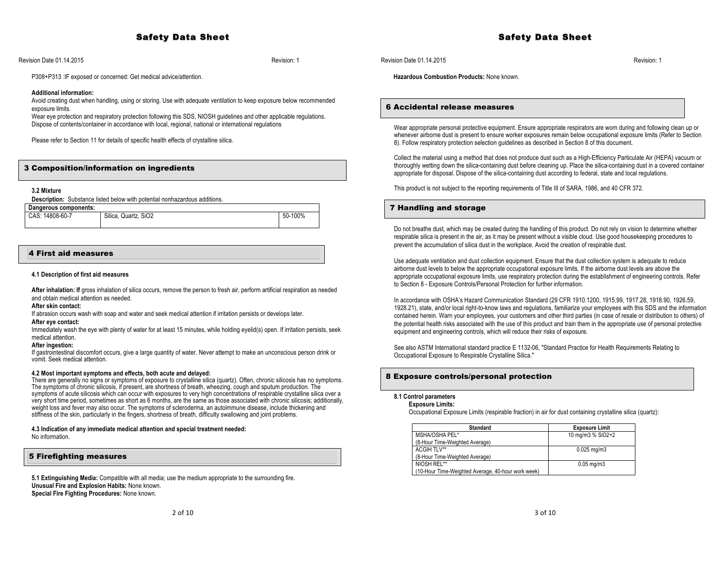Revision Date 01.14.2015 Revision: 1

P308+P313 :IF exposed or concerned: Get medical advice/attention.

#### **Additional information:**

Avoid creating dust when handling, using or storing. Use with adequate ventilation to keep exposure below recommended exposure limits.

Wear eye protection and respiratory protection following this SDS, NIOSH guidelines and other applicable regulations. Dispose of contents/container in accordance with local, regional, national or international regulations

Please refer to Section 11 for details of specific health effects of crystalline silica.

# 3 Composition/information on ingredients

**3.2 Mixture**

**Description:** Substance listed below with potential nonhazardous additions.

| Dangerous components: |                      |         |
|-----------------------|----------------------|---------|
| CAS: 14808-60-7       | Silica, Quartz, SiO2 | 50-100% |
|                       |                      |         |

# 4 First aid measures

#### **4.1 Description of first aid measures**

After inhalation: If gross inhalation of silica occurs, remove the person to fresh air, perform artificial respiration as needed and obtain medical attention as needed.

# **After skin contact:**

If abrasion occurs wash with soap and water and seek medical attention if irritation persists or develops later.

# **After eye contact:**

Immediately wash the eye with plenty of water for at least 15 minutes, while holding eyelid(s) open. If irritation persists, seek medical attention.

## **After ingestion:**

If gastrointestinal discomfort occurs, give a large quantity of water. Never attempt to make an unconscious person drink or vomit. Seek medical attention.

## **4.2 Most important symptoms and effects, both acute and delayed:**

There are generally no signs or symptoms of exposure to crystalline silica (quartz). Often, chronic silicosis has no symptoms. The symptoms of chronic silicosis, if present, are shortness of breath, wheezing, cough and sputum production. The symptoms of acute silicosis which can occur with exposures to very high concentrations of respirable crystalline silica over a very short time period, sometimes as short as 6 months, are the same as those associated with chronic silicosis; additionally, weight loss and fever may also occur. The symptoms of scleroderma, an autoimmune disease, include thickening and stiffness of the skin, particularly in the fingers, shortness of breath, difficulty swallowing and joint problems.

#### **4.3 Indication of any immediate medical attention and special treatment needed:** No information.

# 5 Firefighting measures

**5.1 Extinguishing Media:** Compatible with all media; use the medium appropriate to the surrounding fire. **Unusual Fire and Explosion Habits:** None known. **Special Fire Fighting Procedures:** None known.

Safety Data Sheet

Revision Date 01.14.2015 Revision: 1

 **Hazardous Combustion Products:** None known.

# 6 Accidental release measures

Wear appropriate personal protective equipment. Ensure appropriate respirators are worn during and following clean up or whenever airborne dust is present to ensure worker exposures remain below occupational exposure limits (Refer to Section 8). Follow respiratory protection selection guidelines as described in Section 8 of this document.

Collect the material using a method that does not produce dust such as a High-Efficiency Particulate Air (HEPA) vacuum or thoroughly wetting down the silica-containing dust before cleaning up. Place the silica-containing dust in a covered container appropriate for disposal. Dispose of the silica-containing dust according to federal, state and local regulations.

This product is not subject to the reporting requirements of Title III of SARA, 1986, and 40 CFR 372.

# 7 Handling and storage

Do not breathe dust, which may be created during the handling of this product. Do not rely on vision to determine whether respirable silica is present in the air, as it may be present without a visible cloud. Use good housekeeping procedures to prevent the accumulation of silica dust in the workplace. Avoid the creation of respirable dust.

Use adequate ventilation and dust collection equipment. Ensure that the dust collection system is adequate to reduce airborne dust levels to below the appropriate occupational exposure limits. If the airborne dust levels are above the appropriate occupational exposure limits, use respiratory protection during the establishment of engineering controls. Refer to Section 8 - Exposure Controls/Personal Protection for further information.

In accordance with OSHA's Hazard Communication Standard (29 CFR 1910.1200, 1915.99, 1917.28, 1918.90, 1926.59, 1928.21), state, and/or local right-to-know laws and regulations, familiarize your employees with this SDS and the information contained herein. Warn your employees, your customers and other third parties (in case of resale or distribution to others) of the potential health risks associated with the use of this product and train them in the appropriate use of personal protective equipment and engineering controls, which will reduce their risks of exposure.

See also ASTM International standard practice E 1132-06, "Standard Practice for Health Requirements Relating to Occupational Exposure to Respirable Crystalline Silica."

## 8 Exposure controls/personal protection

#### **8.1 Control parameters Exposure Limits:**

Occupational Exposure Limits (respirable fraction) in air for dust containing crystalline silica (quartz):

| Standard                                           | <b>Exposure Limit</b>  |
|----------------------------------------------------|------------------------|
| MSHA/OSHA PEL*                                     | 10 mg/m3 % SiO2+2      |
| (8-Hour Time-Weighted Average)                     |                        |
| ACGIH TLV**                                        | $0.025 \text{ mg/m}$ 3 |
| (8-Hour Time-Weighted Average)                     |                        |
| NIOSH REL**                                        | $0.05$ mg/m $3$        |
| (10-Hour Time-Weighted Average, 40-hour work week) |                        |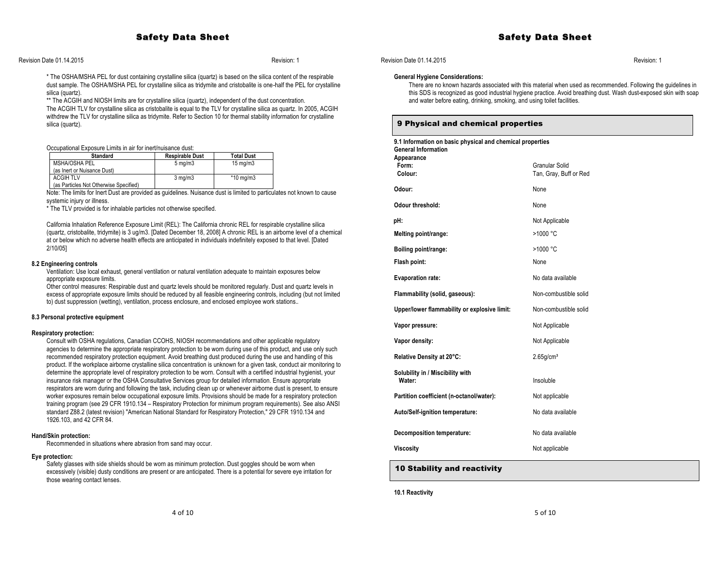# Safety Data Sheet

Revision Date 01.14.2015 Revision: 1

#### \* The OSHA/MSHA PEL for dust containing crystalline silica (quartz) is based on the silica content of the respirable dust sample. The OSHA/MSHA PEL for crystalline silica as tridymite and cristobalite is one-half the PEL for crystalline silica (quartz).

\*\* The ACGIH and NIOSH limits are for crystalline silica (quartz), independent of the dust concentration. The ACGIH TLV for crystalline silica as cristobalite is equal to the TLV for crystalline silica as quartz. In 2005, ACGIH withdrew the TLV for crystalline silica as tridymite. Refer to Section 10 for thermal stability information for crystalline silica (quartz).

Occupational Exposure Limits in air for inert/nuisance dust:

| <b>Standard</b>                        | <b>Respirable Dust</b> | <b>Total Dust</b>    |
|----------------------------------------|------------------------|----------------------|
| MSHA/OSHA PEL                          | $5 \text{ ma/m}$ 3     | $15 \text{ ma/m}$ 3  |
| (as Inert or Nuisance Dust)            |                        |                      |
| <b>ACGIH TLV</b>                       | $3 \text{ ma/m}$       | $*10 \text{ ma/m}$ 3 |
| (as Particles Not Otherwise Specified) |                        |                      |

Note: The limits for Inert Dust are provided as guidelines. Nuisance dust is limited to particulates not known to cause systemic injury or illness.

\* The TLV provided is for inhalable particles not otherwise specified.

California Inhalation Reference Exposure Limit (REL): The California chronic REL for respirable crystalline silica (quartz, cristobalite, tridymite) is 3 ug/m3. [Dated December 18, 2008] A chronic REL is an airborne level of a chemical at or below which no adverse health effects are anticipated in individuals indefinitely exposed to that level. [Dated 2/10/05]

#### **8.2 Engineering controls**

Ventilation: Use local exhaust, general ventilation or natural ventilation adequate to maintain exposures below appropriate exposure limits.

Other control measures: Respirable dust and quartz levels should be monitored regularly. Dust and quartz levels in excess of appropriate exposure limits should be reduced by all feasible engineering controls, including (but not limited to) dust suppression (wetting), ventilation, process enclosure, and enclosed employee work stations..

#### **8.3 Personal protective equipment**

#### **Respiratory protection:**

Consult with OSHA regulations, Canadian CCOHS, NIOSH recommendations and other applicable regulatory agencies to determine the appropriate respiratory protection to be worn during use of this product, and use only such recommended respiratory protection equipment. Avoid breathing dust produced during the use and handling of this product. If the workplace airborne crystalline silica concentration is unknown for a given task, conduct air monitoring to determine the appropriate level of respiratory protection to be worn. Consult with a certified industrial hygienist, your insurance risk manager or the OSHA Consultative Services group for detailed information. Ensure appropriate respirators are worn during and following the task, including clean up or whenever airborne dust is present, to ensure worker exposures remain below occupational exposure limits. Provisions should be made for a respiratory protection training program (see 29 CFR 1910.134 – Respiratory Protection for minimum program requirements). See also ANSI standard Z88.2 (latest revision) "American National Standard for Respiratory Protection," 29 CFR 1910.134 and 1926.103, and 42 CFR 84.

#### **Hand/Skin protection:**

Recommended in situations where abrasion from sand may occur.

#### **Eye protection:**

Safety glasses with side shields should be worn as minimum protection. Dust goggles should be worn when excessively (visible) dusty conditions are present or are anticipated. There is a potential for severe eye irritation for those wearing contact lenses.

# Revision Date 01.14.2015 Revision: 1

#### **General Hygiene Considerations:**

There are no known hazards associated with this material when used as recommended. Following the guidelines in this SDS is recognized as good industrial hygiene practice. Avoid breathing dust. Wash dust-exposed skin with soap and water before eating, drinking, smoking, and using toilet facilities.

# 9 Physical and chemical properties

| 9.1 Information on basic physical and chemical properties<br><b>General Information</b><br>Appearance |                                          |  |
|-------------------------------------------------------------------------------------------------------|------------------------------------------|--|
| Form:<br>Colour:                                                                                      | Granular Solid<br>Tan, Gray, Buff or Red |  |
| Odour:                                                                                                | None                                     |  |
| Odour threshold:                                                                                      | None                                     |  |
| pH:                                                                                                   | Not Applicable                           |  |
| Melting point/range:                                                                                  | >1000 °C                                 |  |
| Boiling point/range:                                                                                  | >1000 °C                                 |  |
| Flash point:                                                                                          | None                                     |  |
| <b>Evaporation rate:</b>                                                                              | No data available                        |  |
| Flammability (solid, gaseous):                                                                        | Non-combustible solid                    |  |
| Upper/lower flammability or explosive limit:                                                          | Non-combustible solid                    |  |
| Vapor pressure:                                                                                       | Not Applicable                           |  |
| Vapor density:                                                                                        | Not Applicable                           |  |
| Relative Density at 20°C:                                                                             | $2.65$ g/cm <sup>3</sup>                 |  |
| Solubility in / Miscibility with<br>Water:                                                            | Insoluble                                |  |
| Partition coefficient (n-octanol/water):                                                              | Not applicable                           |  |
| Auto/Self-ignition temperature:                                                                       | No data available                        |  |
| Decomposition temperature:                                                                            | No data available                        |  |
| <b>Viscosity</b>                                                                                      | Not applicable                           |  |
|                                                                                                       |                                          |  |

# 10 Stability and reactivity

**10.1 Reactivity**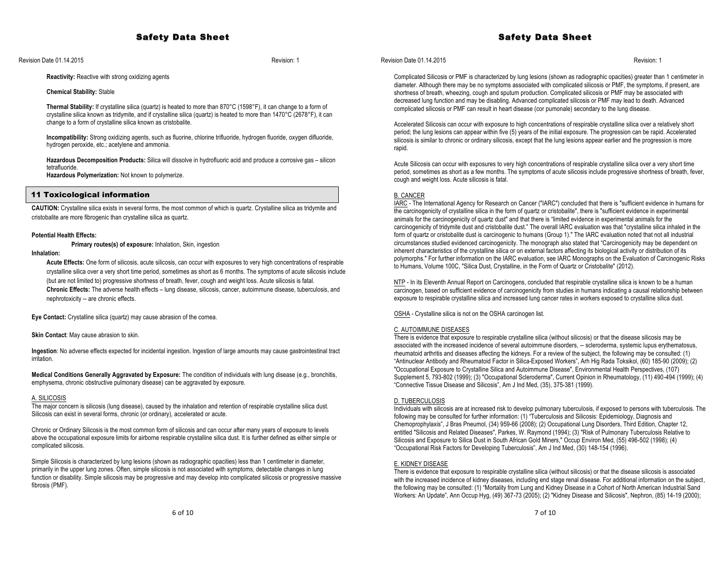Revision Date 01.14.2015 Revision: 1

## **Reactivity:** Reactive with strong oxidizing agents

#### **Chemical Stability:** Stable

**Thermal Stability:** If crystalline silica (quartz) is heated to more than 870°C (1598°F), it can change to a form of crystalline silica known as tridymite, and if crystalline silica (quartz) is heated to more than 1470°C (2678°F), it can change to a form of crystalline silica known as cristobalite.

**Incompatibility:** Strong oxidizing agents, such as fluorine, chlorine trifluoride, hydrogen fluoride, oxygen difluoride, hydrogen peroxide, etc.; acetylene and ammonia.

**Hazardous Decomposition Products:** Silica will dissolve in hydrofluoric acid and produce a corrosive gas – silicon tetrafluoride.

**Hazardous Polymerization:** Not known to polymerize.

# 11 Toxicological information

**CAUTION:** Crystalline silica exists in several forms, the most common of which is quartz. Crystalline silica as tridymite and cristobalite are more fibrogenic than crystalline silica as quartz.

#### **Potential Health Effects:**

**Primary routes(s) of exposure:** Inhalation, Skin, ingestion

# **Inhalation:**

**Acute Effects:** One form of silicosis, acute silicosis, can occur with exposures to very high concentrations of respirable crystalline silica over a very short time period, sometimes as short as 6 months. The symptoms of acute silicosis include (but are not limited to) progressive shortness of breath, fever, cough and weight loss. Acute silicosis is fatal. **Chronic Effects:** The adverse health effects – lung disease, silicosis, cancer, autoimmune disease, tuberculosis, and nephrotoxicity -- are chronic effects.

**Eye Contact:** Crystalline silica (quartz) may cause abrasion of the cornea.

**Skin Contact**: May cause abrasion to skin.

**Ingestion**: No adverse effects expected for incidental ingestion. Ingestion of large amounts may cause gastrointestinal tract irritation.

**Medical Conditions Generally Aggravated by Exposure:** The condition of individuals with lung disease (e.g., bronchitis, emphysema, chronic obstructive pulmonary disease) can be aggravated by exposure.

#### A. SILICOSIS

The major concern is silicosis (lung disease), caused by the inhalation and retention of respirable crystalline silica dust. Silicosis can exist in several forms, chronic (or ordinary), accelerated or acute.

Chronic or Ordinary Silicosis is the most common form of silicosis and can occur after many years of exposure to levels above the occupational exposure limits for airborne respirable crystalline silica dust. It is further defined as either simple or complicated silicosis.

Simple Silicosis is characterized by lung lesions (shown as radiographic opacities) less than 1 centimeter in diameter, primarily in the upper lung zones. Often, simple silicosis is not associated with symptoms, detectable changes in lung function or disability. Simple silicosis may be progressive and may develop into complicated silicosis or progressive massive fibrosis (PMF).

# Safety Data Sheet

## Revision Date 01.14.2015 Revision: 1

Complicated Silicosis or PMF is characterized by lung lesions (shown as radiographic opacities) greater than 1 centimeter in diameter. Although there may be no symptoms associated with complicated silicosis or PMF, the symptoms, if present, are shortness of breath, wheezing, cough and sputum production. Complicated silicosis or PMF may be associated with decreased lung function and may be disabling. Advanced complicated silicosis or PMF may lead to death. Advanced complicated silicosis or PMF can result in heart disease (cor pumonale) secondary to the lung disease.

Accelerated Silicosis can occur with exposure to high concentrations of respirable crystalline silica over a relatively short period; the lung lesions can appear within five (5) years of the initial exposure. The progression can be rapid. Accelerated silicosis is similar to chronic or ordinary silicosis, except that the lung lesions appear earlier and the progression is more rapid.

Acute Silicosis can occur with exposures to very high concentrations of respirable crystalline silica over a very short time period, sometimes as short as a few months. The symptoms of acute silicosis include progressive shortness of breath, fever, cough and weight loss. Acute silicosis is fatal.

#### B. CANCER

IARC - The International Agency for Research on Cancer ("IARC") concluded that there is "sufficient evidence in humans for the carcinogenicity of crystalline silica in the form of quartz or cristobalite", there is "sufficient evidence in experimental animals for the carcinogenicity of quartz dust" and that there is "limited evidence in experimental animals for the carcinogenicity of tridymite dust and cristobalite dust." The overall IARC evaluation was that "crystalline silica inhaled in the form of quartz or cristobalite dust is carcinogenic to humans (Group 1)." The IARC evaluation noted that not all industrial circumstances studied evidenced carcinogenicity. The monograph also stated that "Carcinogenicity may be dependent on inherent characteristics of the crystalline silica or on external factors affecting its biological activity or distribution of its polymorphs." For further information on the IARC evaluation, see IARC Monographs on the Evaluation of Carcinogenic Risks to Humans, Volume 100C, "Silica Dust, Crystalline, in the Form of Quartz or Cristobalite" (2012).

NTP - In its Eleventh Annual Report on Carcinogens, concluded that respirable crystalline silica is known to be a human carcinogen, based on sufficient evidence of carcinogenicity from studies in humans indicating a causal relationship between exposure to respirable crystalline silica and increased lung cancer rates in workers exposed to crystalline silica dust.

OSHA - Crystalline silica is not on the OSHA carcinogen list.

## C. AUTOIMMUNE DISEASES

There is evidence that exposure to respirable crystalline silica (without silicosis) or that the disease silicosis may be associated with the increased incidence of several autoimmune disorders, -- scleroderma, systemic lupus erythematosus, rheumatoid arthritis and diseases affecting the kidneys. For a review of the subject, the following may be consulted: (1) "Antinuclear Antibody and Rheumatoid Factor in Silica-Exposed Workers", Arh Hig Rada Toksikol, (60) 185-90 (2009); (2) "Occupational Exposure to Crystalline Silica and Autoimmune Disease", Environmental Health Perspectives, (107) Supplement 5, 793-802 (1999); (3) "Occupational Scleroderma", Current Opinion in Rheumatology, (11) 490-494 (1999); (4) "Connective Tissue Disease and Silicosis", Am J Ind Med, (35), 375-381 (1999).

#### D. TUBERCULOSIS

Individuals with silicosis are at increased risk to develop pulmonary tuberculosis, if exposed to persons with tuberculosis. The following may be consulted for further information: (1) "Tuberculosis and Silicosis: Epidemiology, Diagnosis and Chemoprophylaxis", J Bras Pneumol, (34) 959-66 (2008); (2) Occupational Lung Disorders, Third Edition, Chapter 12, entitled "Silicosis and Related Diseases", Parkes, W. Raymond (1994); (3) "Risk of Pulmonary Tuberculosis Relative to Silicosis and Exposure to Silica Dust in South African Gold Miners," Occup Environ Med, (55) 496-502 (1998); (4) "Occupational Risk Factors for Developing Tuberculosis", Am J Ind Med, (30) 148-154 (1996).

#### E. KIDNEY DISEASE

There is evidence that exposure to respirable crystalline silica (without silicosis) or that the disease silicosis is associated with the increased incidence of kidney diseases, including end stage renal disease. For additional information on the subject, the following may be consulted: (1) "Mortality from Lung and Kidney Disease in a Cohort of North American Industrial Sand Workers: An Update", Ann Occup Hyg, (49) 367-73 (2005); (2) "Kidney Disease and Silicosis", Nephron, (85) 14-19 (2000);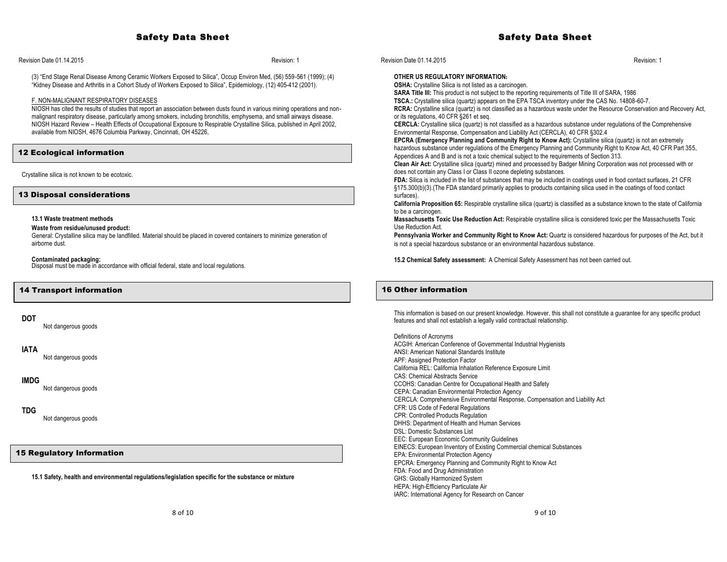# Safety Data Sheet

Revision Date 01.14.2015 Revision: 1

(3) "End Stage Renal Disease Among Ceramic Workers Exposed to Silica", Occup Environ Med, (56) 559-561 (1999); (4) "Kidney Disease and Arthritis in a Cohort Study of Workers Exposed to Silica", Epidemiology, (12) 405-412 (2001).

#### F. NON-MALIGNANT RESPIRATORY DISEASES

NIOSH has cited the results of studies that report an association between dusts found in various mining operations and nonmalignant respiratory disease, particularly among smokers, including bronchitis, emphysema, and small airways disease. NIOSH Hazard Review – Health Effects of Occupational Exposure to Respirable Crystalline Silica, published in April 2002, available from NIOSH, 4676 Columbia Parkway, Cincinnati, OH 45226,

# 12 Ecological information

Crystalline silica is not known to be ecotoxic.

13 Disposal considerations

#### **13.1 Waste treatment methods**

**Waste from residue/unused product:**

General: Crystalline silica may be landfilled. Material should be placed in covered containers to minimize generation of airborne dust.

**Contaminated packaging:** Disposal must be made in accordance with official federal, state and local regulations.

## 14 Transport information

## **DOT**

Not dangerous goods

## **IATA**

Not dangerous goods

## **IMDG**

Not dangerous goods

# **TDG**

Not dangerous goods

# 15 Regulatory Information

**15.1 Safety, health and environmental regulations/legislation specific for the substance or mixture**

Revision Date 01.14.2015 Revision: 1

#### **OTHER US REGULATORY INFORMATION:**

**OSHA:** Crystalline Silica is not listed as a carcinogen.

**SARA Title III:** This product is not subject to the reporting requirements of Title III of SARA, 1986

**TSCA.:** Crystalline silica (quartz) appears on the EPA TSCA inventory under the CAS No. 14808-60-7.

**RCRA:** Crystalline silica (quartz) is not classified as a hazardous waste under the Resource Conservation and Recovery Act, or its regulations, 40 CFR §261 et seq.

**CERCLA:** Crystalline silica (quartz) is not classified as a hazardous substance under regulations of the Comprehensive Environmental Response, Compensation and Liability Act (CERCLA), 40 CFR §302.4

**EPCRA (Emergency Planning and Community Right to Know Act):** Crystalline silica (quartz) is not an extremely hazardous substance under regulations of the Emergency Planning and Community Right to Know Act, 40 CFR Part 355, Appendices A and B and is not a toxic chemical subject to the requirements of Section 313.

**Clean Air Act:** Crystalline silica (quartz) mined and processed by Badger Mining Corporation was not processed with or does not contain any Class I or Class II ozone depleting substances.

**FDA:** Silica is included in the list of substances that may be included in coatings used in food contact surfaces, 21 CFR §175.300(b)(3).(The FDA standard primarily applies to products containing silica used in the coatings of food contact surfaces).

**California Proposition 65:** Respirable crystalline silica (quartz) is classified as a substance known to the state of California to be a carcinogen.

**Massachusetts Toxic Use Reduction Act:** Respirable crystalline silica is considered toxic per the Massachusetts Toxic Use Reduction Act.

**Pennsylvania Worker and Community Right to Know Act:** Quartz is considered hazardous for purposes of the Act, but it is not a special hazardous substance or an environmental hazardous substance.

**15.2 Chemical Safety assessment:** A Chemical Safety Assessment has not been carried out.

# 16 Other information

This information is based on our present knowledge. However, this shall not constitute a guarantee for any specific product features and shall not establish a legally valid contractual relationship.

Definitions of Acronyms ACGIH: American Conference of Governmental Industrial Hygienists ANSI: American National Standards Institute APF: Assigned Protection Factor California REL: California Inhalation Reference Exposure Limit CAS: Chemical Abstracts Service CCOHS: Canadian Centre for Occupational Health and Safety CEPA: Canadian Environmental Protection Agency CERCLA: Comprehensive Environmental Response, Compensation and Liability Act CFR: US Code of Federal Regulations CPR: Controlled Products Regulation DHHS: Department of Health and Human Services DSL: Domestic Substances List EEC: European Economic Community Guidelines EINECS: European Inventory of Existing Commercial chemical Substances EPA: Environmental Protection Agency EPCRA: Emergency Planning and Community Right to Know Act FDA: Food and Drug Administration GHS: Globally Harmonized System HEPA: High-Efficiency Particulate Air IARC: International Agency for Research on Cancer